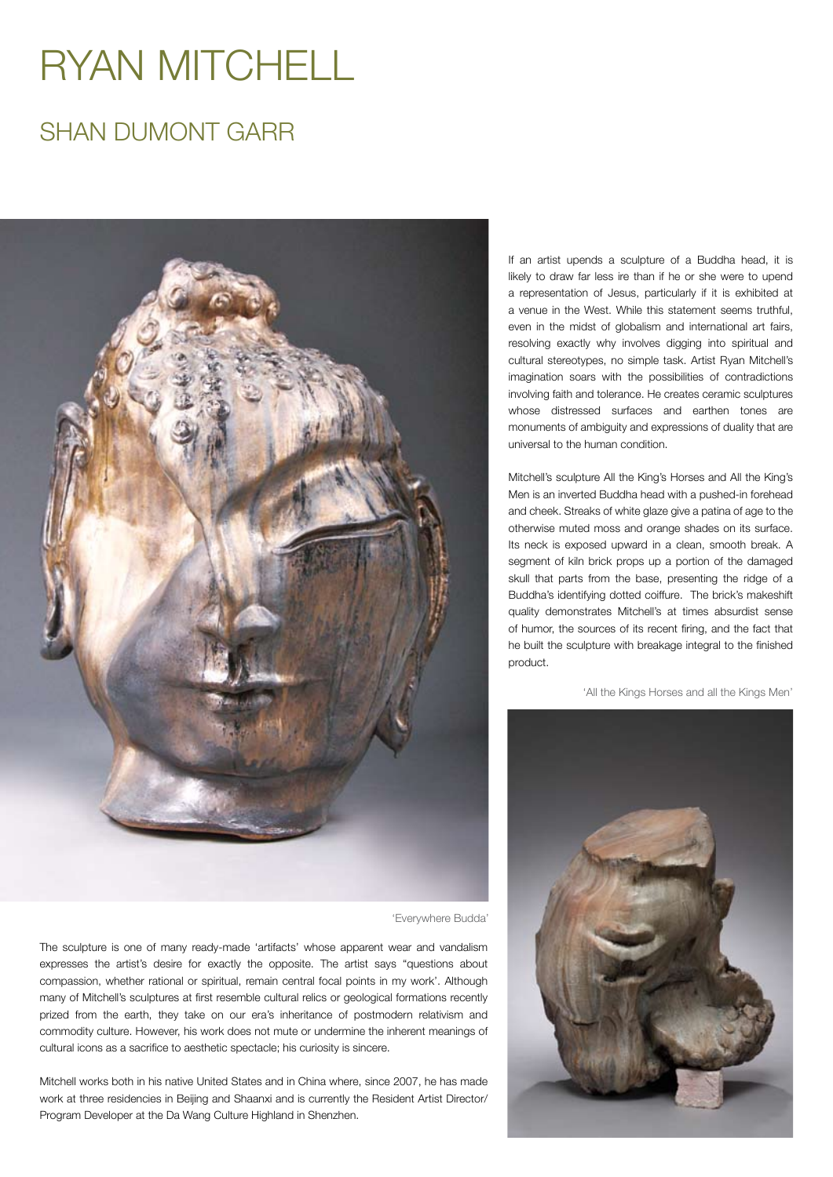## RYAN MITCHELL

## SHAN DUMONT GARR



'Everywhere Budda'

The sculpture is one of many ready-made 'artifacts' whose apparent wear and vandalism expresses the artist's desire for exactly the opposite. The artist says "questions about compassion, whether rational or spiritual, remain central focal points in my work'. Although many of Mitchell's sculptures at first resemble cultural relics or geological formations recently prized from the earth, they take on our era's inheritance of postmodern relativism and commodity culture. However, his work does not mute or undermine the inherent meanings of cultural icons as a sacrifice to aesthetic spectacle; his curiosity is sincere.

Mitchell works both in his native United States and in China where, since 2007, he has made work at three residencies in Beijing and Shaanxi and is currently the Resident Artist Director/ Program Developer at the Da Wang Culture Highland in Shenzhen.

If an artist upends a sculpture of a Buddha head, it is likely to draw far less ire than if he or she were to upend a representation of Jesus, particularly if it is exhibited at a venue in the West. While this statement seems truthful, even in the midst of globalism and international art fairs, resolving exactly why involves digging into spiritual and cultural stereotypes, no simple task. Artist Ryan Mitchell's imagination soars with the possibilities of contradictions involving faith and tolerance. He creates ceramic sculptures whose distressed surfaces and earthen tones are monuments of ambiguity and expressions of duality that are universal to the human condition.

Mitchell's sculpture All the King's Horses and All the King's Men is an inverted Buddha head with a pushed-in forehead and cheek. Streaks of white glaze give a patina of age to the otherwise muted moss and orange shades on its surface. Its neck is exposed upward in a clean, smooth break. A segment of kiln brick props up a portion of the damaged skull that parts from the base, presenting the ridge of a Buddha's identifying dotted coiffure. The brick's makeshift quality demonstrates Mitchell's at times absurdist sense of humor, the sources of its recent firing, and the fact that he built the sculpture with breakage integral to the finished product.

'All the Kings Horses and all the Kings Men'

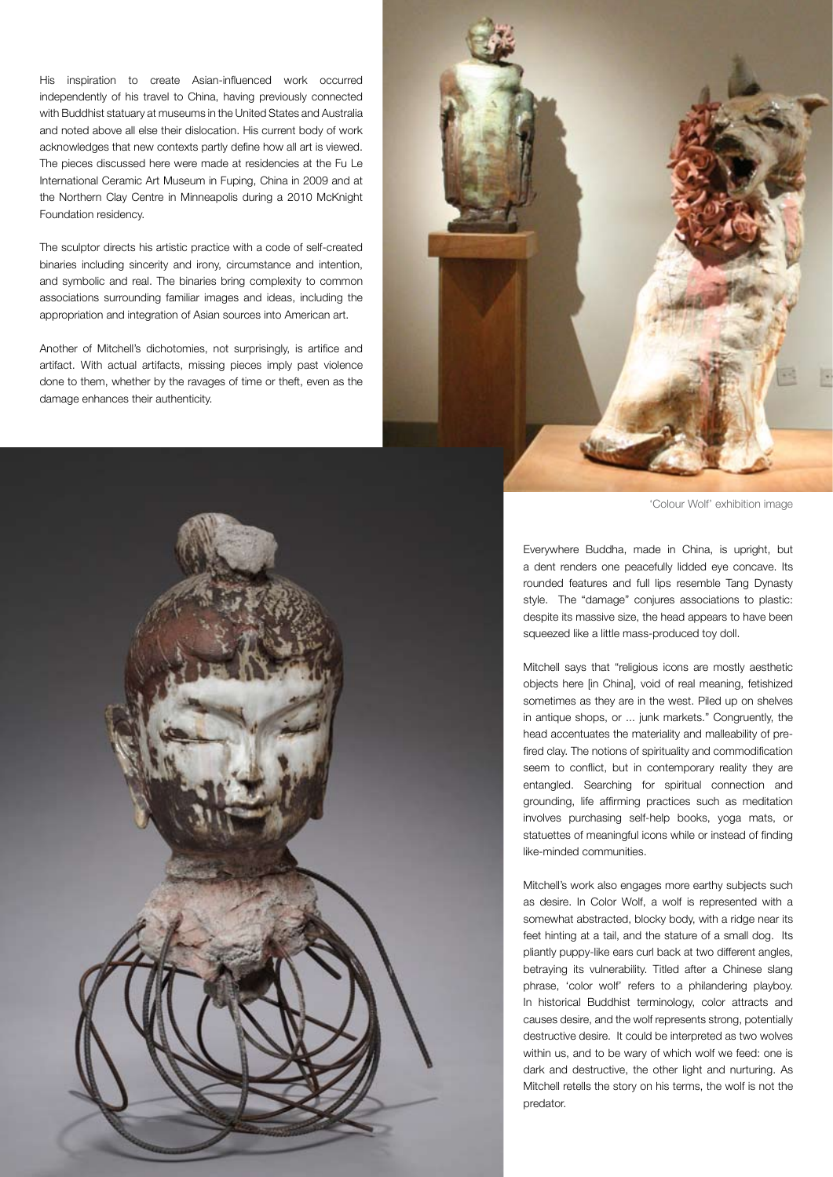His inspiration to create Asian-influenced work occurred independently of his travel to China, having previously connected with Buddhist statuary at museums in the United States and Australia and noted above all else their dislocation. His current body of work acknowledges that new contexts partly define how all art is viewed. The pieces discussed here were made at residencies at the Fu Le International Ceramic Art Museum in Fuping, China in 2009 and at the Northern Clay Centre in Minneapolis during a 2010 McKnight Foundation residency.

The sculptor directs his artistic practice with a code of self-created binaries including sincerity and irony, circumstance and intention, and symbolic and real. The binaries bring complexity to common associations surrounding familiar images and ideas, including the appropriation and integration of Asian sources into American art.

Another of Mitchell's dichotomies, not surprisingly, is artifice and artifact. With actual artifacts, missing pieces imply past violence done to them, whether by the ravages of time or theft, even as the damage enhances their authenticity.



'Colour Wolf' exhibition image

Everywhere Buddha, made in China, is upright, but a dent renders one peacefully lidded eye concave. Its rounded features and full lips resemble Tang Dynasty style. The "damage" conjures associations to plastic: despite its massive size, the head appears to have been squeezed like a little mass-produced toy doll.

Mitchell says that "religious icons are mostly aesthetic objects here [in China], void of real meaning, fetishized sometimes as they are in the west. Piled up on shelves in antique shops, or ... junk markets." Congruently, the head accentuates the materiality and malleability of prefired clay. The notions of spirituality and commodification seem to conflict, but in contemporary reality they are entangled. Searching for spiritual connection and grounding, life affirming practices such as meditation involves purchasing self-help books, yoga mats, or statuettes of meaningful icons while or instead of finding like-minded communities.

Mitchell's work also engages more earthy subjects such as desire. In Color Wolf, a wolf is represented with a somewhat abstracted, blocky body, with a ridge near its feet hinting at a tail, and the stature of a small dog. Its pliantly puppy-like ears curl back at two different angles, betraying its vulnerability. Titled after a Chinese slang phrase, 'color wolf' refers to a philandering playboy. In historical Buddhist terminology, color attracts and causes desire, and the wolf represents strong, potentially destructive desire. It could be interpreted as two wolves within us, and to be wary of which wolf we feed: one is dark and destructive, the other light and nurturing. As Mitchell retells the story on his terms, the wolf is not the predator.